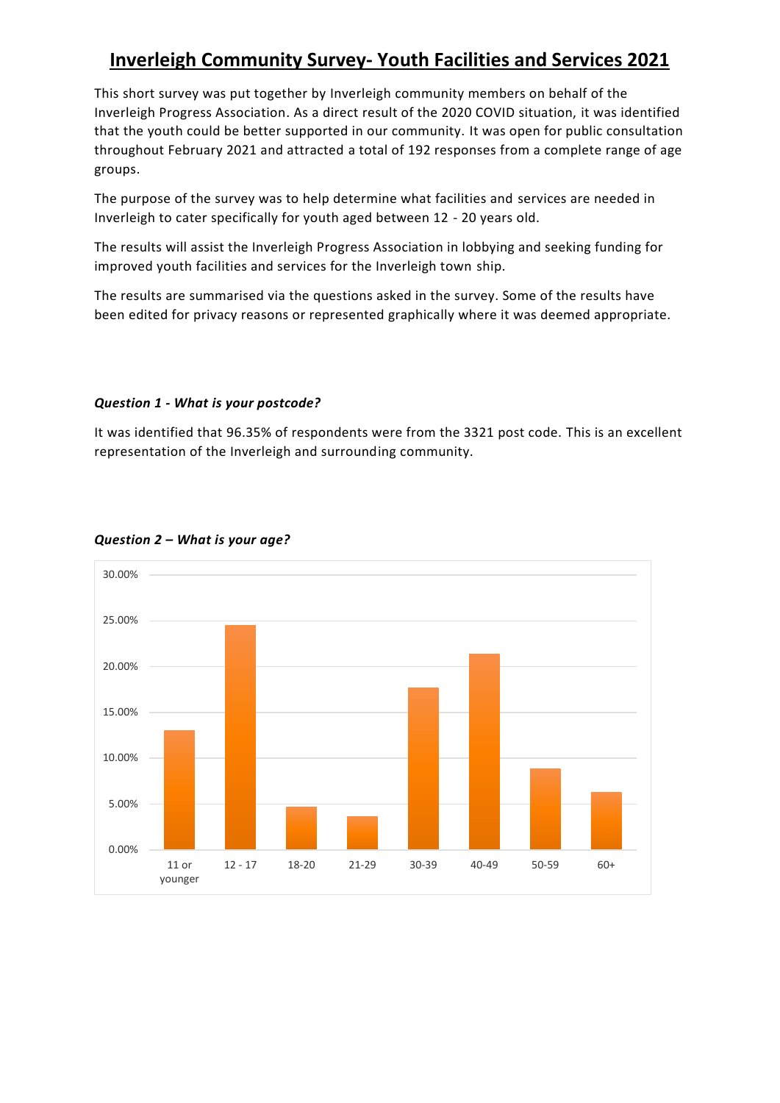# **Inverleigh Community Survey- Youth Facilities and Services 2021**

This short survey was put together by Inverleigh community members on behalf of the Inverleigh Progress Association. As a direct result of the 2020 COVID situation, it was identified that the youth could be better supported in our community. It was open for public consultation throughout February 2021 and attracted a total of 192 responses from a complete range of age groups.

The purpose of the survey was to help determine what facilities and services are needed in Inverleigh to cater specifically for youth aged between 12 - 20 years old.

The results will assist the Inverleigh Progress Association in lobbying and seeking funding for improved youth facilities and services for the Inverleigh town ship.

The results are summarised via the questions asked in the survey. Some of the results have been edited for privacy reasons or represented graphically where it was deemed appropriate.

#### *Question 1 - What is your postcode?*

It was identified that 96.35% of respondents were from the 3321 post code. This is an excellent representation of the Inverleigh and surrounding community.



#### *Question 2 – What is your age?*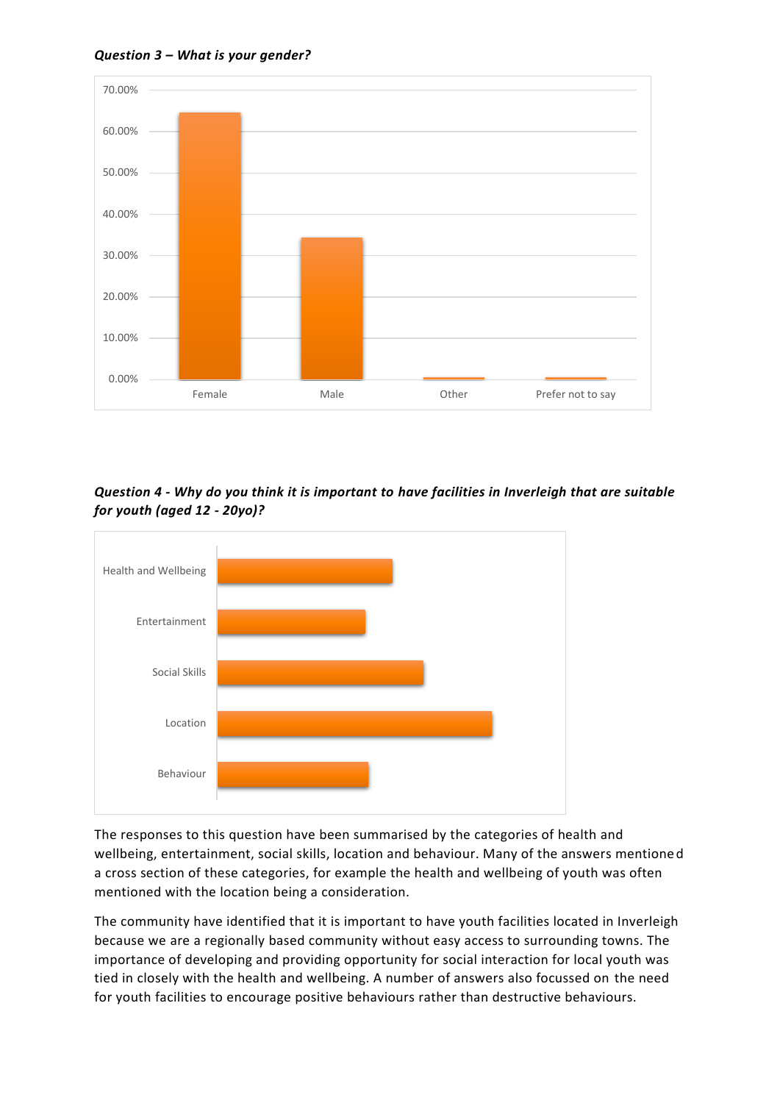*Question 3 – What is your gender?*



*Question 4 - Why do you think it is important to have facilities in Inverleigh that are suitable for youth (aged 12 - 20yo)?*



The responses to this question have been summarised by the categories of health and wellbeing, entertainment, social skills, location and behaviour. Many of the answers mentioned a cross section of these categories, for example the health and wellbeing of youth was often mentioned with the location being a consideration.

The community have identified that it is important to have youth facilities located in Inverleigh because we are a regionally based community without easy access to surrounding towns. The importance of developing and providing opportunity for social interaction for local youth was tied in closely with the health and wellbeing. A number of answers also focussed on the need for youth facilities to encourage positive behaviours rather than destructive behaviours.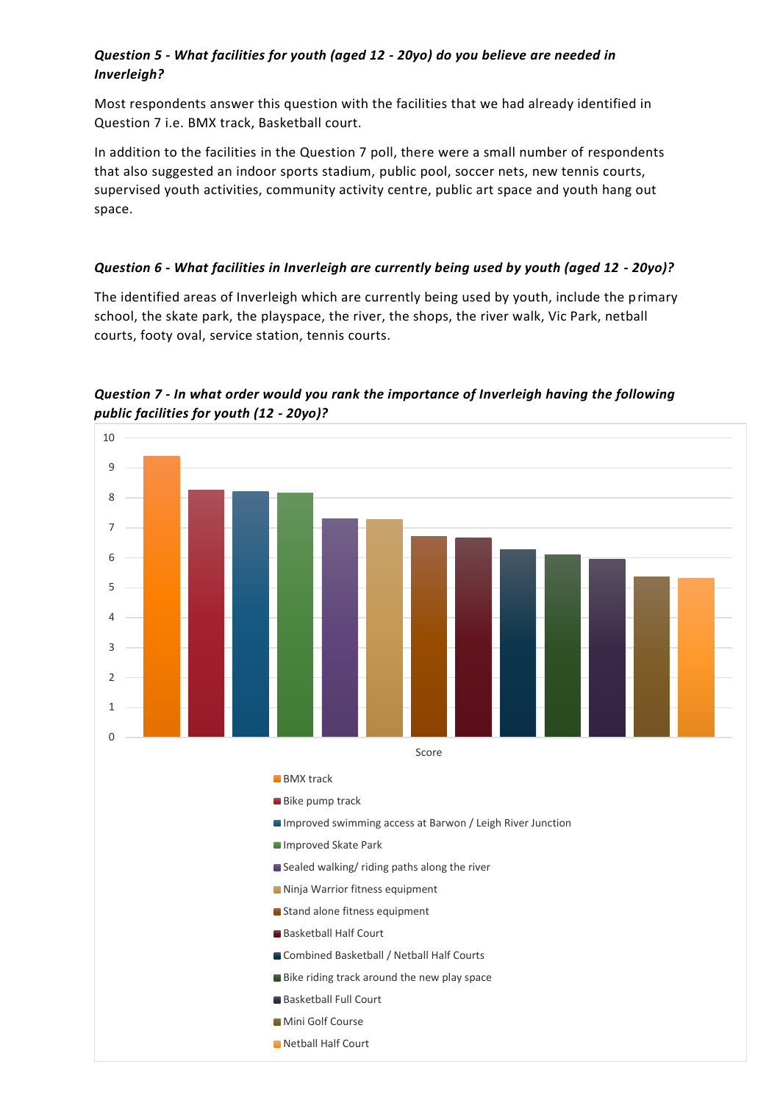## *Question 5 - What facilities for youth (aged 12 - 20yo) do you believe are needed in Inverleigh?*

Most respondents answer this question with the facilities that we had already identified in Question 7 i.e. BMX track, Basketball court.

In addition to the facilities in the Question 7 poll, there were a small number of respondents that also suggested an indoor sports stadium, public pool, soccer nets, new tennis courts, supervised youth activities, community activity centre, public art space and youth hang out space.

#### *Question 6 - What facilities in Inverleigh are currently being used by youth (aged 12 - 20yo)?*

The identified areas of Inverleigh which are currently being used by youth, include the primary school, the skate park, the playspace, the river, the shops, the river walk, Vic Park, netball courts, footy oval, service station, tennis courts.

*Question 7 - In what order would you rank the importance of Inverleigh having the following public facilities for youth (12 - 20yo)?*

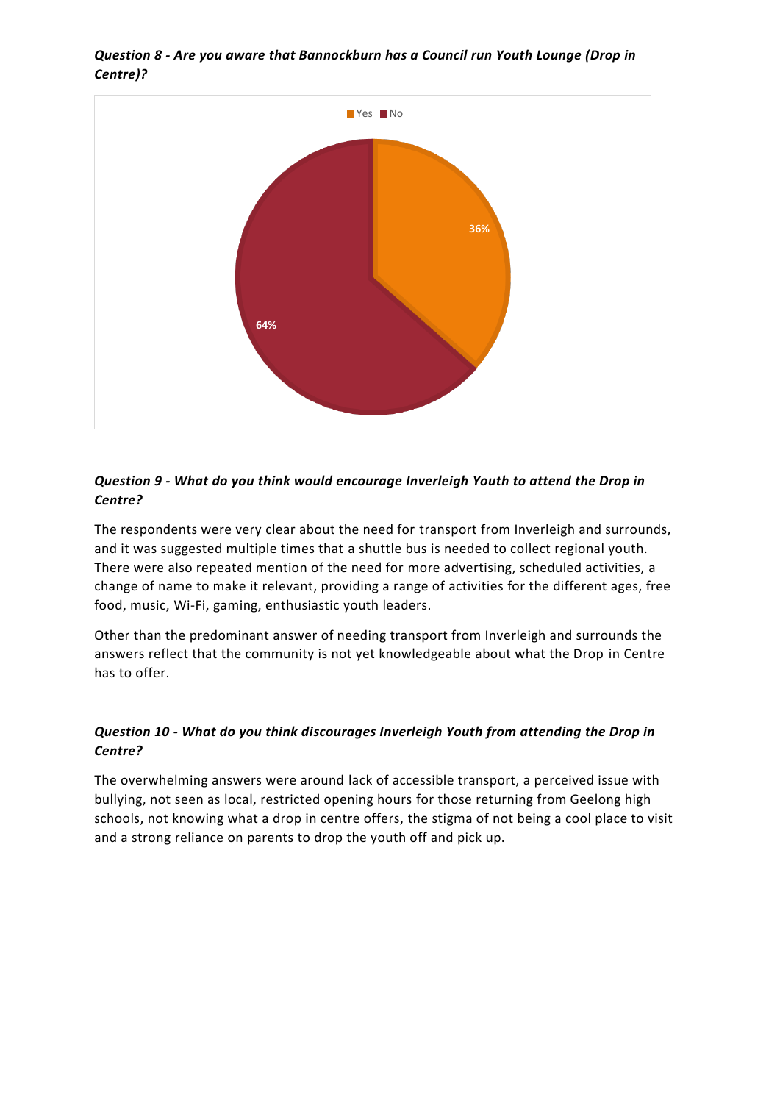

*Question 8 - Are you aware that Bannockburn has a Council run Youth Lounge (Drop in Centre)?*

## *Question 9 - What do you think would encourage Inverleigh Youth to attend the Drop in Centre?*

The respondents were very clear about the need for transport from Inverleigh and surrounds, and it was suggested multiple times that a shuttle bus is needed to collect regional youth. There were also repeated mention of the need for more advertising, scheduled activities, a change of name to make it relevant, providing a range of activities for the different ages, free food, music, Wi-Fi, gaming, enthusiastic youth leaders.

Other than the predominant answer of needing transport from Inverleigh and surrounds the answers reflect that the community is not yet knowledgeable about what the Drop in Centre has to offer.

# *Question 10 - What do you think discourages Inverleigh Youth from attending the Drop in Centre?*

The overwhelming answers were around lack of accessible transport, a perceived issue with bullying, not seen as local, restricted opening hours for those returning from Geelong high schools, not knowing what a drop in centre offers, the stigma of not being a cool place to visit and a strong reliance on parents to drop the youth off and pick up.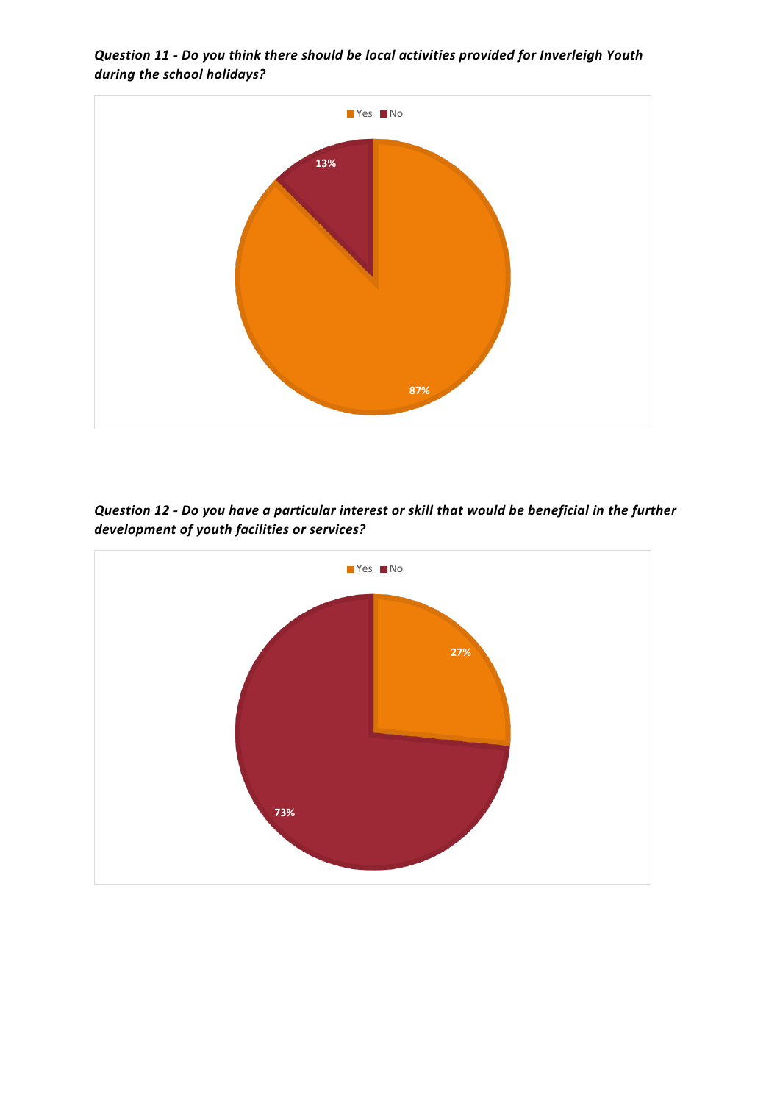

*Question 11 - Do you think there should be local activities provided for Inverleigh Youth during the school holidays?*

*Question 12 - Do you have a particular interest or skill that would be beneficial in the further development of youth facilities or services?*

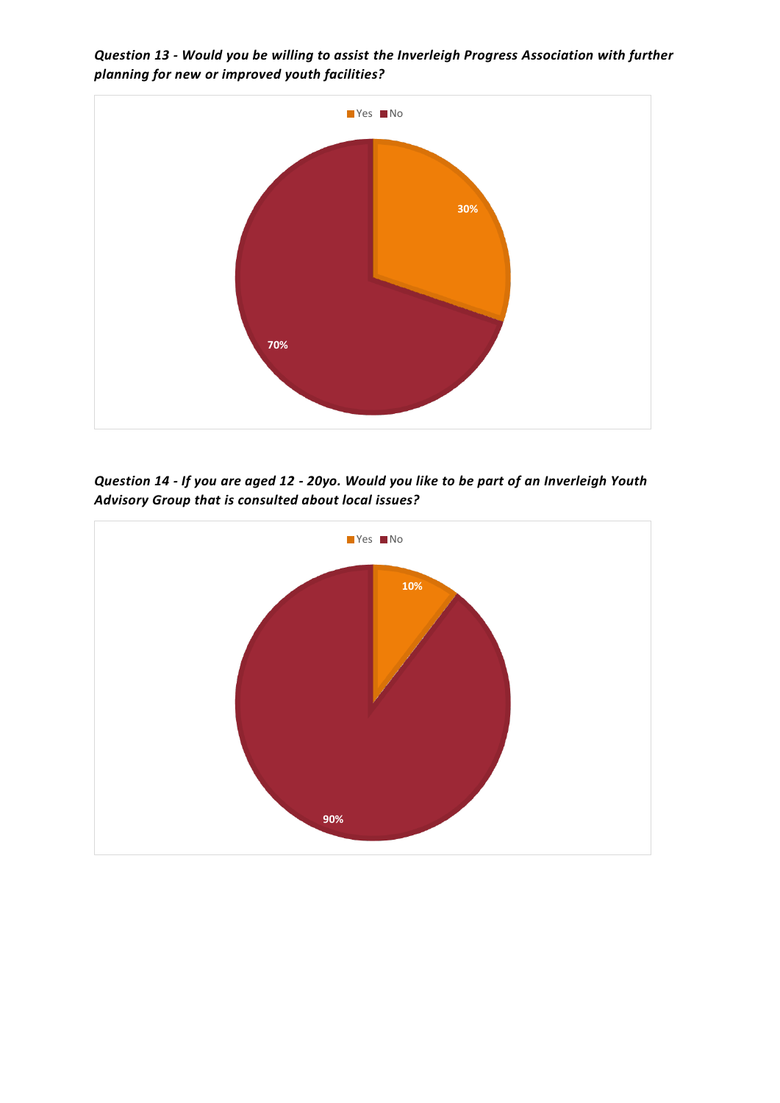*Question 13 - Would you be willing to assist the Inverleigh Progress Association with further planning for new or improved youth facilities?*



*Question 14 - If you are aged 12 - 20yo. Would you like to be part of an Inverleigh Youth Advisory Group that is consulted about local issues?*

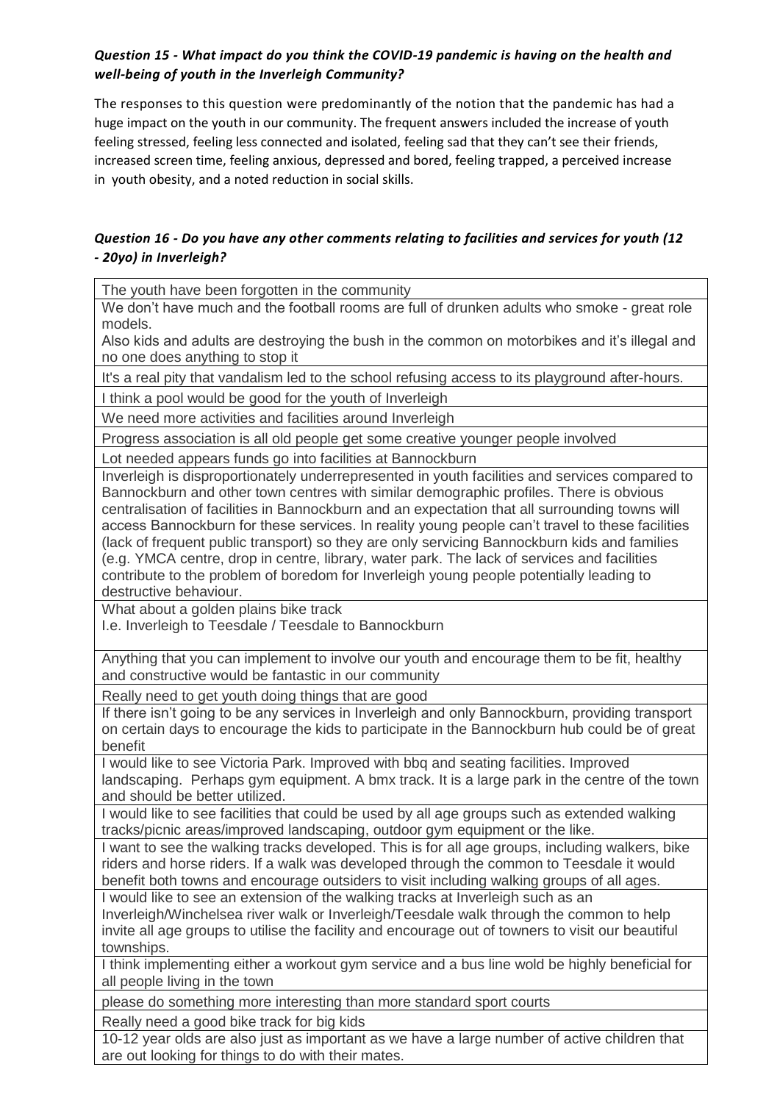## *Question 15 - What impact do you think the COVID-19 pandemic is having on the health and well-being of youth in the Inverleigh Community?*

The responses to this question were predominantly of the notion that the pandemic has had a huge impact on the youth in our community. The frequent answers included the increase of youth feeling stressed, feeling less connected and isolated, feeling sad that they can't see their friends, increased screen time, feeling anxious, depressed and bored, feeling trapped, a perceived increase in youth obesity, and a noted reduction in social skills.

## *Question 16 - Do you have any other comments relating to facilities and services for youth (12 - 20yo) in Inverleigh?*

The youth have been forgotten in the community

We don't have much and the football rooms are full of drunken adults who smoke - great role models.

Also kids and adults are destroying the bush in the common on motorbikes and it's illegal and no one does anything to stop it

It's a real pity that vandalism led to the school refusing access to its playground after-hours.

I think a pool would be good for the youth of Inverleigh

We need more activities and facilities around Inverleigh

Progress association is all old people get some creative younger people involved

Lot needed appears funds go into facilities at Bannockburn

Inverleigh is disproportionately underrepresented in youth facilities and services compared to Bannockburn and other town centres with similar demographic profiles. There is obvious centralisation of facilities in Bannockburn and an expectation that all surrounding towns will access Bannockburn for these services. In reality young people can't travel to these facilities (lack of frequent public transport) so they are only servicing Bannockburn kids and families (e.g. YMCA centre, drop in centre, library, water park. The lack of services and facilities contribute to the problem of boredom for Inverleigh young people potentially leading to destructive behaviour.

What about a golden plains bike track

I.e. Inverleigh to Teesdale / Teesdale to Bannockburn

Anything that you can implement to involve our youth and encourage them to be fit, healthy and constructive would be fantastic in our community

Really need to get youth doing things that are good

If there isn't going to be any services in Inverleigh and only Bannockburn, providing transport on certain days to encourage the kids to participate in the Bannockburn hub could be of great benefit

I would like to see Victoria Park. Improved with bbq and seating facilities. Improved landscaping. Perhaps gym equipment. A bmx track. It is a large park in the centre of the town and should be better utilized.

I would like to see facilities that could be used by all age groups such as extended walking tracks/picnic areas/improved landscaping, outdoor gym equipment or the like.

I want to see the walking tracks developed. This is for all age groups, including walkers, bike riders and horse riders. If a walk was developed through the common to Teesdale it would benefit both towns and encourage outsiders to visit including walking groups of all ages.

I would like to see an extension of the walking tracks at Inverleigh such as an Inverleigh/Winchelsea river walk or Inverleigh/Teesdale walk through the common to help invite all age groups to utilise the facility and encourage out of towners to visit our beautiful townships.

I think implementing either a workout gym service and a bus line wold be highly beneficial for all people living in the town

please do something more interesting than more standard sport courts

Really need a good bike track for big kids

10-12 year olds are also just as important as we have a large number of active children that are out looking for things to do with their mates.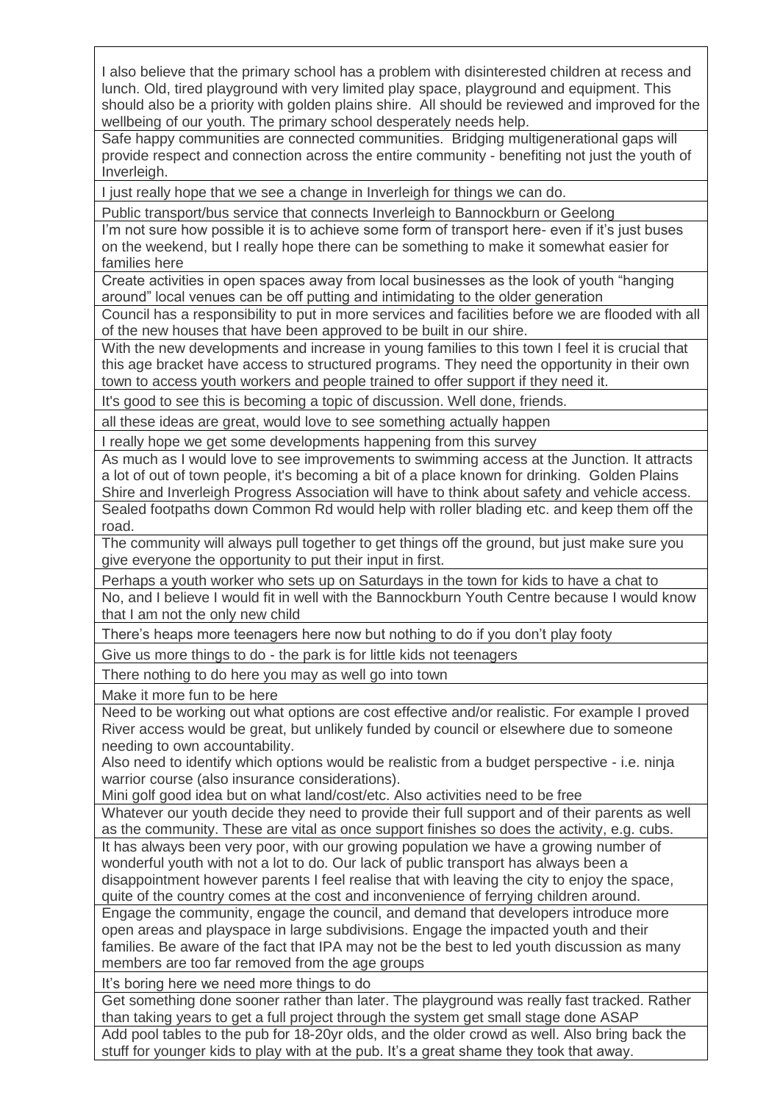I also believe that the primary school has a problem with disinterested children at recess and lunch. Old, tired playground with very limited play space, playground and equipment. This should also be a priority with golden plains shire. All should be reviewed and improved for the wellbeing of our youth. The primary school desperately needs help.

Safe happy communities are connected communities. Bridging multigenerational gaps will provide respect and connection across the entire community - benefiting not just the youth of Inverleigh.

I just really hope that we see a change in Inverleigh for things we can do.

Public transport/bus service that connects Inverleigh to Bannockburn or Geelong

I'm not sure how possible it is to achieve some form of transport here- even if it's just buses on the weekend, but I really hope there can be something to make it somewhat easier for families here

Create activities in open spaces away from local businesses as the look of youth "hanging around" local venues can be off putting and intimidating to the older generation

Council has a responsibility to put in more services and facilities before we are flooded with all of the new houses that have been approved to be built in our shire.

With the new developments and increase in young families to this town I feel it is crucial that this age bracket have access to structured programs. They need the opportunity in their own town to access youth workers and people trained to offer support if they need it.

It's good to see this is becoming a topic of discussion. Well done, friends.

all these ideas are great, would love to see something actually happen

I really hope we get some developments happening from this survey

As much as I would love to see improvements to swimming access at the Junction. It attracts a lot of out of town people, it's becoming a bit of a place known for drinking. Golden Plains Shire and Inverleigh Progress Association will have to think about safety and vehicle access. Sealed footpaths down Common Rd would help with roller blading etc. and keep them off the road.

The community will always pull together to get things off the ground, but just make sure you give everyone the opportunity to put their input in first.

Perhaps a youth worker who sets up on Saturdays in the town for kids to have a chat to No, and I believe I would fit in well with the Bannockburn Youth Centre because I would know that I am not the only new child

There's heaps more teenagers here now but nothing to do if you don't play footy

Give us more things to do - the park is for little kids not teenagers

There nothing to do here you may as well go into town

Make it more fun to be here

Need to be working out what options are cost effective and/or realistic. For example I proved River access would be great, but unlikely funded by council or elsewhere due to someone needing to own accountability.

Also need to identify which options would be realistic from a budget perspective - i.e. ninja warrior course (also insurance considerations).

Mini golf good idea but on what land/cost/etc. Also activities need to be free

Whatever our youth decide they need to provide their full support and of their parents as well as the community. These are vital as once support finishes so does the activity, e.g. cubs.

It has always been very poor, with our growing population we have a growing number of wonderful youth with not a lot to do. Our lack of public transport has always been a disappointment however parents I feel realise that with leaving the city to enjoy the space, quite of the country comes at the cost and inconvenience of ferrying children around.

Engage the community, engage the council, and demand that developers introduce more open areas and playspace in large subdivisions. Engage the impacted youth and their families. Be aware of the fact that IPA may not be the best to led youth discussion as many members are too far removed from the age groups

It's boring here we need more things to do

Get something done sooner rather than later. The playground was really fast tracked. Rather than taking years to get a full project through the system get small stage done ASAP

Add pool tables to the pub for 18-20yr olds, and the older crowd as well. Also bring back the stuff for younger kids to play with at the pub. It's a great shame they took that away.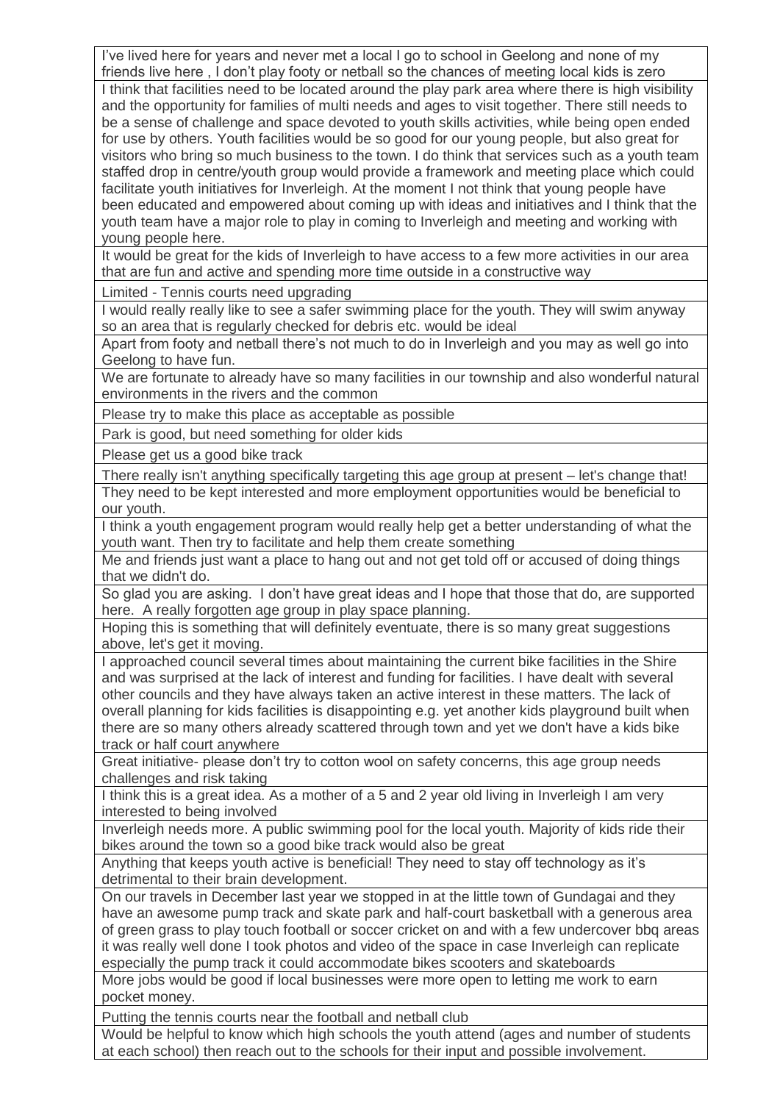I've lived here for years and never met a local I go to school in Geelong and none of my friends live here , I don't play footy or netball so the chances of meeting local kids is zero I think that facilities need to be located around the play park area where there is high visibility and the opportunity for families of multi needs and ages to visit together. There still needs to be a sense of challenge and space devoted to youth skills activities, while being open ended for use by others. Youth facilities would be so good for our young people, but also great for visitors who bring so much business to the town. I do think that services such as a youth team staffed drop in centre/youth group would provide a framework and meeting place which could facilitate youth initiatives for Inverleigh. At the moment I not think that young people have been educated and empowered about coming up with ideas and initiatives and I think that the youth team have a major role to play in coming to Inverleigh and meeting and working with young people here.

It would be great for the kids of Inverleigh to have access to a few more activities in our area that are fun and active and spending more time outside in a constructive way

Limited - Tennis courts need upgrading

I would really really like to see a safer swimming place for the youth. They will swim anyway so an area that is regularly checked for debris etc. would be ideal

Apart from footy and netball there's not much to do in Inverleigh and you may as well go into Geelong to have fun.

We are fortunate to already have so many facilities in our township and also wonderful natural environments in the rivers and the common

Please try to make this place as acceptable as possible

Park is good, but need something for older kids

Please get us a good bike track

There really isn't anything specifically targeting this age group at present – let's change that! They need to be kept interested and more employment opportunities would be beneficial to our youth.

I think a youth engagement program would really help get a better understanding of what the youth want. Then try to facilitate and help them create something

Me and friends just want a place to hang out and not get told off or accused of doing things that we didn't do.

So glad you are asking. I don't have great ideas and I hope that those that do, are supported here. A really forgotten age group in play space planning.

Hoping this is something that will definitely eventuate, there is so many great suggestions above, let's get it moving.

I approached council several times about maintaining the current bike facilities in the Shire and was surprised at the lack of interest and funding for facilities. I have dealt with several other councils and they have always taken an active interest in these matters. The lack of overall planning for kids facilities is disappointing e.g. yet another kids playground built when there are so many others already scattered through town and yet we don't have a kids bike track or half court anywhere

Great initiative- please don't try to cotton wool on safety concerns, this age group needs challenges and risk taking

I think this is a great idea. As a mother of a 5 and 2 year old living in Inverleigh I am very interested to being involved

Inverleigh needs more. A public swimming pool for the local youth. Majority of kids ride their bikes around the town so a good bike track would also be great

Anything that keeps youth active is beneficial! They need to stay off technology as it's detrimental to their brain development.

On our travels in December last year we stopped in at the little town of Gundagai and they have an awesome pump track and skate park and half-court basketball with a generous area of green grass to play touch football or soccer cricket on and with a few undercover bbq areas it was really well done I took photos and video of the space in case Inverleigh can replicate especially the pump track it could accommodate bikes scooters and skateboards

More jobs would be good if local businesses were more open to letting me work to earn pocket money.

Putting the tennis courts near the football and netball club

Would be helpful to know which high schools the youth attend (ages and number of students at each school) then reach out to the schools for their input and possible involvement.